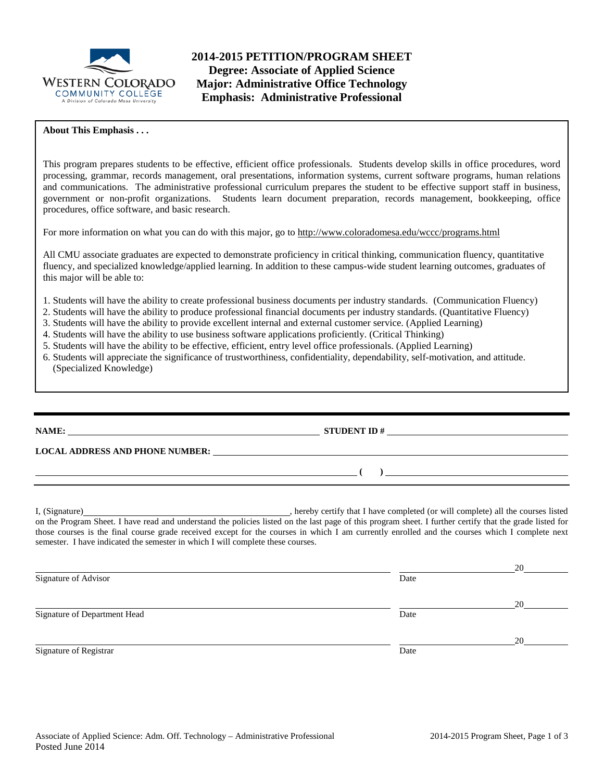

**2014-2015 PETITION/PROGRAM SHEET Degree: Associate of Applied Science Major: Administrative Office Technology Emphasis: Administrative Professional**

### **About This Emphasis . . .**

This program prepares students to be effective, efficient office professionals. Students develop skills in office procedures, word processing, grammar, records management, oral presentations, information systems, current software programs, human relations and communications. The administrative professional curriculum prepares the student to be effective support staff in business, government or non-profit organizations. Students learn document preparation, records management, bookkeeping, office procedures, office software, and basic research.

For more information on what you can do with this major, go to http://www.coloradomesa.edu/wccc/programs.html

All CMU associate graduates are expected to demonstrate proficiency in critical thinking, communication fluency, quantitative fluency, and specialized knowledge/applied learning. In addition to these campus-wide student learning outcomes, graduates of this major will be able to:

- 1. Students will have the ability to create professional business documents per industry standards. (Communication Fluency)
- 2. Students will have the ability to produce professional financial documents per industry standards. (Quantitative Fluency)
- 3. Students will have the ability to provide excellent internal and external customer service. (Applied Learning)
- 4. Students will have the ability to use business software applications proficiently. (Critical Thinking)
- 5. Students will have the ability to be effective, efficient, entry level office professionals. (Applied Learning)
- 6. Students will appreciate the significance of trustworthiness, confidentiality, dependability, self-motivation, and attitude. (Specialized Knowledge)

**NAME: STUDENT ID #**

**( )** 

**LOCAL ADDRESS AND PHONE NUMBER:**

I, (Signature) hereby certify that I have completed (or will complete) all the courses listed on the Program Sheet. I have read and understand the policies listed on the last page of this program sheet. I further certify that the grade listed for those courses is the final course grade received except for the courses in which I am currently enrolled and the courses which I complete next semester. I have indicated the semester in which I will complete these courses.

|                              |      | 20 |
|------------------------------|------|----|
| Signature of Advisor         | Date |    |
|                              |      | 20 |
| Signature of Department Head | Date |    |
|                              |      | 20 |
| Signature of Registrar       | Date |    |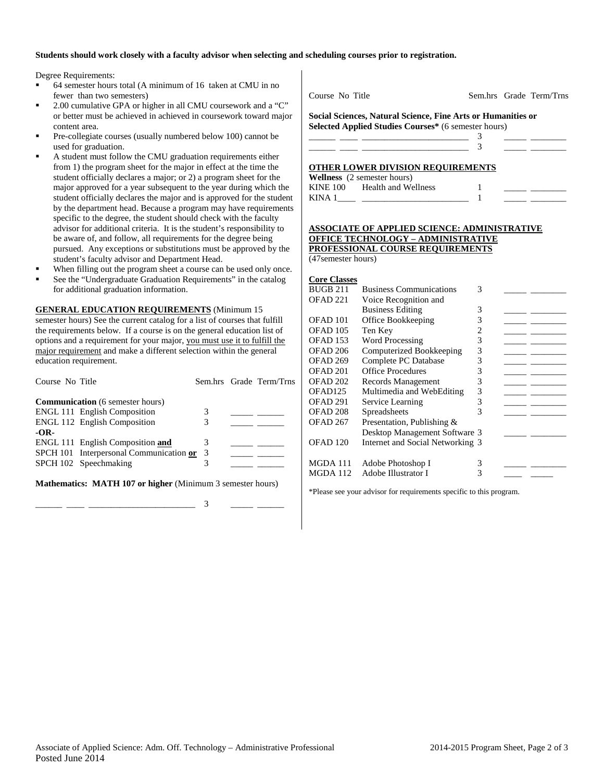### **Students should work closely with a faculty advisor when selecting and scheduling courses prior to registration.**

Degree Requirements:

- 64 semester hours total (A minimum of 16 taken at CMU in no fewer than two semesters)
- 2.00 cumulative GPA or higher in all CMU coursework and a "C" or better must be achieved in achieved in coursework toward major content area.
- Pre-collegiate courses (usually numbered below 100) cannot be used for graduation.
- A student must follow the CMU graduation requirements either from 1) the program sheet for the major in effect at the time the student officially declares a major; or 2) a program sheet for the major approved for a year subsequent to the year during which the student officially declares the major and is approved for the student by the department head. Because a program may have requirements specific to the degree, the student should check with the faculty advisor for additional criteria. It is the student's responsibility to be aware of, and follow, all requirements for the degree being pursued. Any exceptions or substitutions must be approved by the student's faculty advisor and Department Head.
- When filling out the program sheet a course can be used only once.
- See the "Undergraduate Graduation Requirements" in the catalog for additional graduation information.

**GENERAL EDUCATION REQUIREMENTS** (Minimum 15 semester hours) See the current catalog for a list of courses that fulfill the requirements below. If a course is on the general education list of options and a requirement for your major, you must use it to fulfill the major requirement and make a different selection within the general education requirement.

| Course No Title                           |  | Sem.hrs Grade Term/Trns |
|-------------------------------------------|--|-------------------------|
| <b>Communication</b> (6 semester hours)   |  |                         |
| <b>ENGL 111 English Composition</b>       |  |                         |
| <b>ENGL 112 English Composition</b>       |  |                         |
| $-OR-$                                    |  |                         |
| ENGL 111 English Composition and          |  |                         |
| SPCH 101 Interpersonal Communication or 3 |  |                         |
| SPCH 102 Speechmaking                     |  |                         |
|                                           |  |                         |
|                                           |  |                         |

**Mathematics: MATH 107 or higher** (Minimum 3 semester hours)

\_\_\_\_\_\_ \_\_\_\_ \_\_\_\_\_\_\_\_\_\_\_\_\_\_\_\_\_\_\_\_\_\_\_\_ 3 \_\_\_\_\_ \_\_\_\_\_\_

Course No Title Sem.hrs Grade Term/Trns

**Social Sciences, Natural Science, Fine Arts or Humanities or Selected Applied Studies Courses\*** (6 semester hours)

| OTHER LOWER DIVISION REQUIREMENTS |  |  |
|-----------------------------------|--|--|
|                                   |  |  |

|          | <b>Wellness</b> (2 semester hours) |  |  |
|----------|------------------------------------|--|--|
| KINE 100 | Health and Wellness                |  |  |
| KINA 1   |                                    |  |  |

#### **ASSOCIATE OF APPLIED SCIENCE: ADMINISTRATIVE OFFICE TECHNOLOGY – ADMINISTRATIVE PROFESSIONAL COURSE REQUIREMENTS** (47semester hours)

### **Core Classes**

| <b>Business Communications</b> | 3 |                                                                   |  |
|--------------------------------|---|-------------------------------------------------------------------|--|
| Voice Recognition and          |   |                                                                   |  |
| <b>Business Editing</b>        | 3 |                                                                   |  |
| Office Bookkeeping             | 3 |                                                                   |  |
| Ten Key                        | 2 |                                                                   |  |
| <b>Word Processing</b>         | 3 |                                                                   |  |
| Computerized Bookkeeping       | 3 |                                                                   |  |
| Complete PC Database           | 3 |                                                                   |  |
| <b>Office Procedures</b>       | 3 |                                                                   |  |
| Records Management             | 3 |                                                                   |  |
| Multimedia and WebEditing      | 3 |                                                                   |  |
| Service Learning               | 3 |                                                                   |  |
| Spreadsheets                   | 3 |                                                                   |  |
| Presentation, Publishing &     |   |                                                                   |  |
|                                |   |                                                                   |  |
|                                |   |                                                                   |  |
|                                |   |                                                                   |  |
| Adobe Photoshop I              | 3 |                                                                   |  |
| Adobe Illustrator I            | 3 |                                                                   |  |
|                                |   | Desktop Management Software 3<br>Internet and Social Networking 3 |  |

\*Please see your advisor for requirements specific to this program.